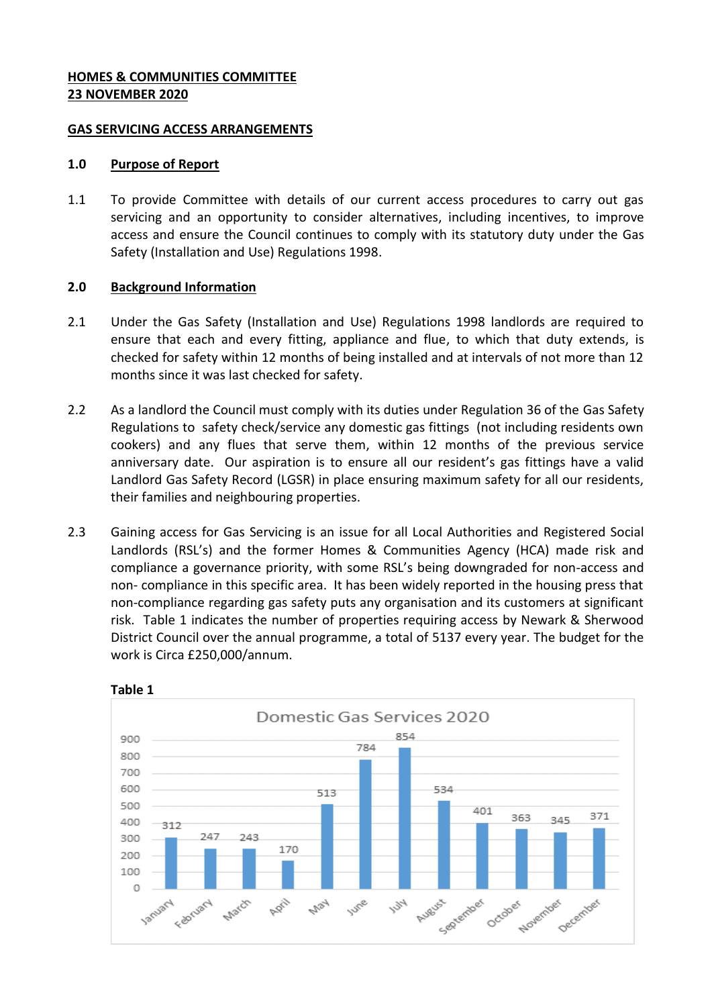#### **HOMES & COMMUNITIES COMMITTEE 23 NOVEMBER 2020**

#### **GAS SERVICING ACCESS ARRANGEMENTS**

#### **1.0 Purpose of Report**

1.1 To provide Committee with details of our current access procedures to carry out gas servicing and an opportunity to consider alternatives, including incentives, to improve access and ensure the Council continues to comply with its statutory duty under the Gas Safety (Installation and Use) Regulations 1998.

#### **2.0 Background Information**

- 2.1 Under the Gas Safety (Installation and Use) Regulations 1998 landlords are required to ensure that each and every fitting, appliance and flue, to which that duty extends, is checked for safety within 12 months of being installed and at intervals of not more than 12 months since it was last checked for safety.
- 2.2 As a landlord the Council must comply with its duties under Regulation 36 of the Gas Safety Regulations to safety check/service any domestic gas fittings (not including residents own cookers) and any flues that serve them, within 12 months of the previous service anniversary date. Our aspiration is to ensure all our resident's gas fittings have a valid Landlord Gas Safety Record (LGSR) in place ensuring maximum safety for all our residents, their families and neighbouring properties.
- 2.3 Gaining access for Gas Servicing is an issue for all Local Authorities and Registered Social Landlords (RSL's) and the former Homes & Communities Agency (HCA) made risk and compliance a governance priority, with some RSL's being downgraded for non-access and non- compliance in this specific area. It has been widely reported in the housing press that non-compliance regarding gas safety puts any organisation and its customers at significant risk. Table 1 indicates the number of properties requiring access by Newark & Sherwood District Council over the annual programme, a total of 5137 every year. The budget for the work is Circa £250,000/annum.



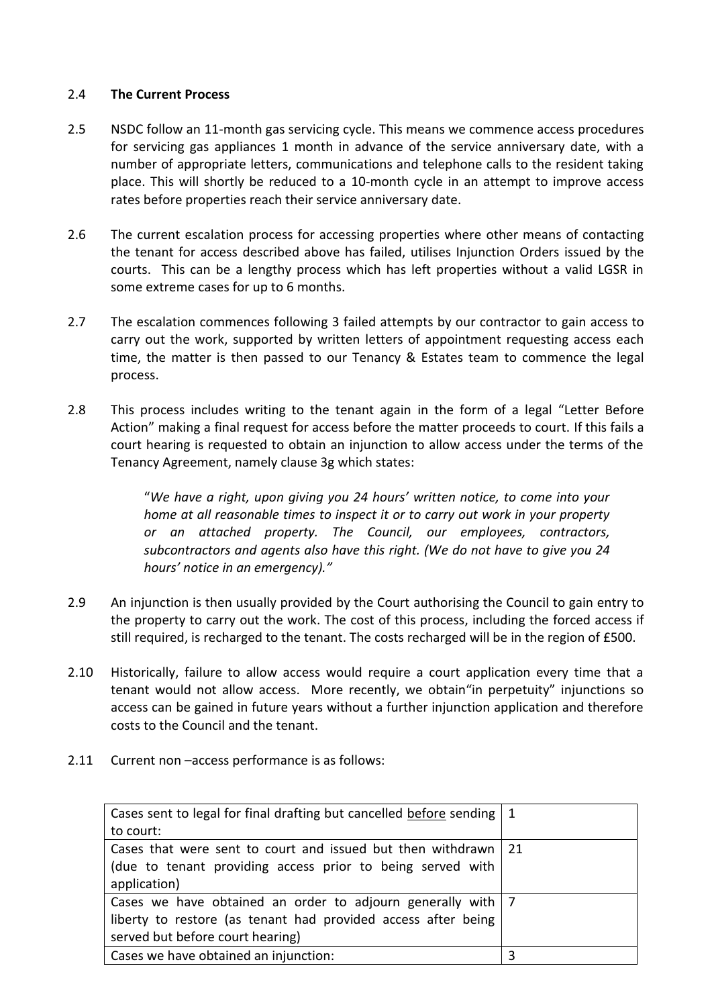## 2.4 **The Current Process**

- 2.5 NSDC follow an 11-month gas servicing cycle. This means we commence access procedures for servicing gas appliances 1 month in advance of the service anniversary date, with a number of appropriate letters, communications and telephone calls to the resident taking place. This will shortly be reduced to a 10-month cycle in an attempt to improve access rates before properties reach their service anniversary date.
- 2.6 The current escalation process for accessing properties where other means of contacting the tenant for access described above has failed, utilises Injunction Orders issued by the courts. This can be a lengthy process which has left properties without a valid LGSR in some extreme cases for up to 6 months.
- 2.7 The escalation commences following 3 failed attempts by our contractor to gain access to carry out the work, supported by written letters of appointment requesting access each time, the matter is then passed to our Tenancy & Estates team to commence the legal process.
- 2.8 This process includes writing to the tenant again in the form of a legal "Letter Before Action" making a final request for access before the matter proceeds to court. If this fails a court hearing is requested to obtain an injunction to allow access under the terms of the Tenancy Agreement, namely clause 3g which states:

"*We have a right, upon giving you 24 hours' written notice, to come into your home at all reasonable times to inspect it or to carry out work in your property or an attached property. The Council, our employees, contractors, subcontractors and agents also have this right. (We do not have to give you 24 hours' notice in an emergency)."*

- 2.9 An injunction is then usually provided by the Court authorising the Council to gain entry to the property to carry out the work. The cost of this process, including the forced access if still required, is recharged to the tenant. The costs recharged will be in the region of £500.
- 2.10 Historically, failure to allow access would require a court application every time that a tenant would not allow access. More recently, we obtain"in perpetuity" injunctions so access can be gained in future years without a further injunction application and therefore costs to the Council and the tenant.
- 2.11 Current non –access performance is as follows:

| Cases sent to legal for final drafting but cancelled before sending   1 |    |
|-------------------------------------------------------------------------|----|
| to court:                                                               |    |
| Cases that were sent to court and issued but then withdrawn             | 21 |
| (due to tenant providing access prior to being served with              |    |
| application)                                                            |    |
| Cases we have obtained an order to adjourn generally with   7           |    |
| liberty to restore (as tenant had provided access after being           |    |
| served but before court hearing)                                        |    |
| Cases we have obtained an injunction:                                   |    |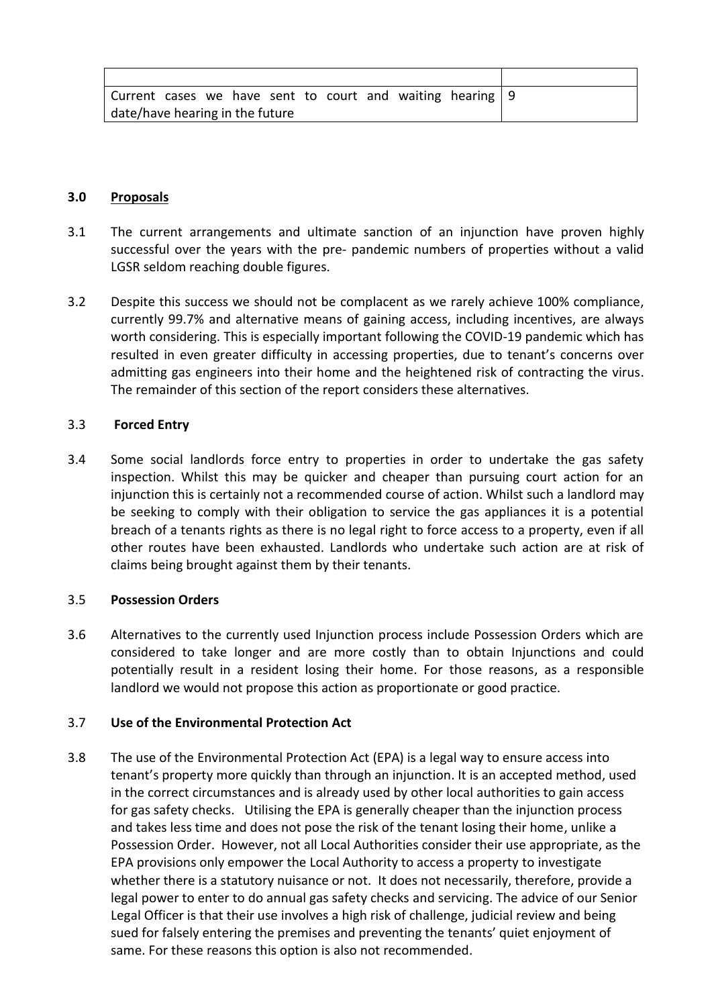## **3.0 Proposals**

- 3.1 The current arrangements and ultimate sanction of an injunction have proven highly successful over the years with the pre- pandemic numbers of properties without a valid LGSR seldom reaching double figures.
- 3.2 Despite this success we should not be complacent as we rarely achieve 100% compliance, currently 99.7% and alternative means of gaining access, including incentives, are always worth considering. This is especially important following the COVID-19 pandemic which has resulted in even greater difficulty in accessing properties, due to tenant's concerns over admitting gas engineers into their home and the heightened risk of contracting the virus. The remainder of this section of the report considers these alternatives.

## 3.3 **Forced Entry**

3.4 Some social landlords force entry to properties in order to undertake the gas safety inspection. Whilst this may be quicker and cheaper than pursuing court action for an injunction this is certainly not a recommended course of action. Whilst such a landlord may be seeking to comply with their obligation to service the gas appliances it is a potential breach of a tenants rights as there is no legal right to force access to a property, even if all other routes have been exhausted. Landlords who undertake such action are at risk of claims being brought against them by their tenants.

#### 3.5 **Possession Orders**

3.6 Alternatives to the currently used Injunction process include Possession Orders which are considered to take longer and are more costly than to obtain Injunctions and could potentially result in a resident losing their home. For those reasons, as a responsible landlord we would not propose this action as proportionate or good practice.

# 3.7 **Use of the Environmental Protection Act**

3.8 The use of the Environmental Protection Act (EPA) is a legal way to ensure access into tenant's property more quickly than through an injunction. It is an accepted method, used in the correct circumstances and is already used by other local authorities to gain access for gas safety checks. Utilising the EPA is generally cheaper than the injunction process and takes less time and does not pose the risk of the tenant losing their home, unlike a Possession Order. However, not all Local Authorities consider their use appropriate, as the EPA provisions only empower the Local Authority to access a property to investigate whether there is a statutory nuisance or not. It does not necessarily, therefore, provide a legal power to enter to do annual gas safety checks and servicing. The advice of our Senior Legal Officer is that their use involves a high risk of challenge, judicial review and being sued for falsely entering the premises and preventing the tenants' quiet enjoyment of same. For these reasons this option is also not recommended.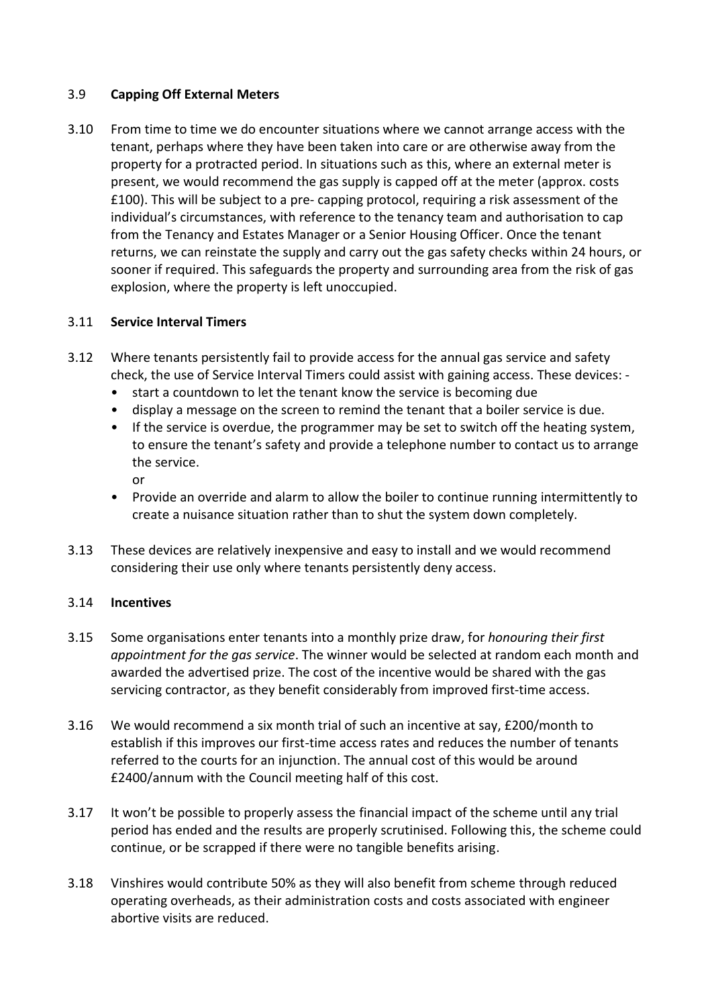## 3.9 **Capping Off External Meters**

3.10 From time to time we do encounter situations where we cannot arrange access with the tenant, perhaps where they have been taken into care or are otherwise away from the property for a protracted period. In situations such as this, where an external meter is present, we would recommend the gas supply is capped off at the meter (approx. costs £100). This will be subject to a pre- capping protocol, requiring a risk assessment of the individual's circumstances, with reference to the tenancy team and authorisation to cap from the Tenancy and Estates Manager or a Senior Housing Officer. Once the tenant returns, we can reinstate the supply and carry out the gas safety checks within 24 hours, or sooner if required. This safeguards the property and surrounding area from the risk of gas explosion, where the property is left unoccupied.

## 3.11 **Service Interval Timers**

- 3.12 Where tenants persistently fail to provide access for the annual gas service and safety check, the use of Service Interval Timers could assist with gaining access. These devices: -
	- start a countdown to let the tenant know the service is becoming due
	- display a message on the screen to remind the tenant that a boiler service is due.
	- If the service is overdue, the programmer may be set to switch off the heating system, to ensure the tenant's safety and provide a telephone number to contact us to arrange the service.
		- or
	- Provide an override and alarm to allow the boiler to continue running intermittently to create a nuisance situation rather than to shut the system down completely.
- 3.13 These devices are relatively inexpensive and easy to install and we would recommend considering their use only where tenants persistently deny access.

#### 3.14 **Incentives**

- 3.15 Some organisations enter tenants into a monthly prize draw, for *honouring their first appointment for the gas service*. The winner would be selected at random each month and awarded the advertised prize. The cost of the incentive would be shared with the gas servicing contractor, as they benefit considerably from improved first-time access.
- 3.16 We would recommend a six month trial of such an incentive at say, £200/month to establish if this improves our first-time access rates and reduces the number of tenants referred to the courts for an injunction. The annual cost of this would be around £2400/annum with the Council meeting half of this cost.
- 3.17 It won't be possible to properly assess the financial impact of the scheme until any trial period has ended and the results are properly scrutinised. Following this, the scheme could continue, or be scrapped if there were no tangible benefits arising.
- 3.18 Vinshires would contribute 50% as they will also benefit from scheme through reduced operating overheads, as their administration costs and costs associated with engineer abortive visits are reduced.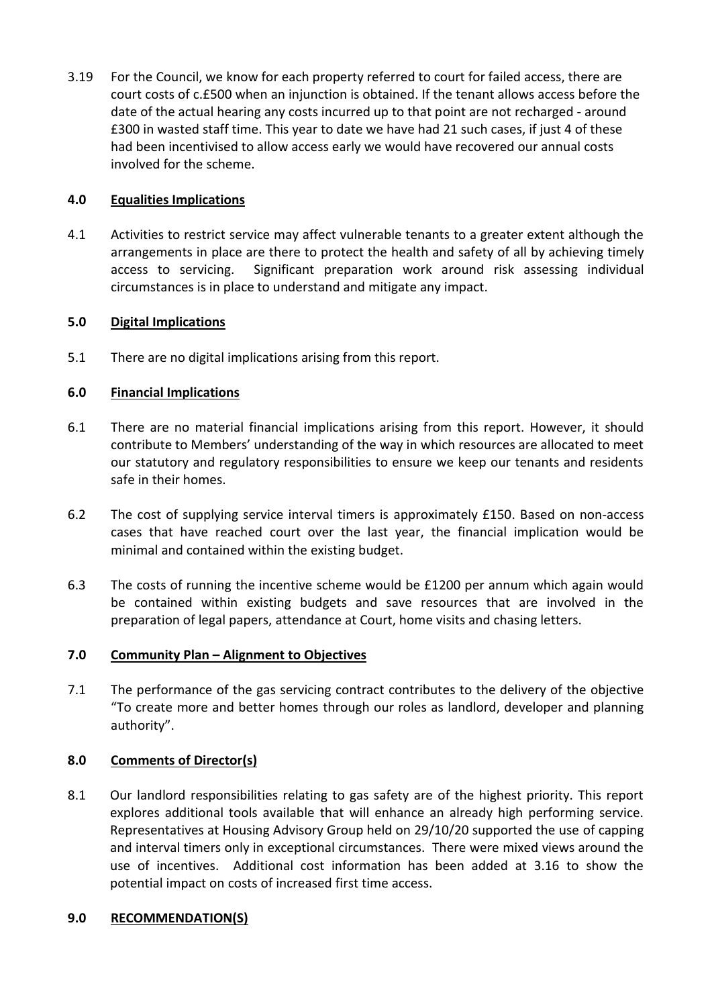3.19 For the Council, we know for each property referred to court for failed access, there are court costs of c.£500 when an injunction is obtained. If the tenant allows access before the date of the actual hearing any costs incurred up to that point are not recharged - around £300 in wasted staff time. This year to date we have had 21 such cases, if just 4 of these had been incentivised to allow access early we would have recovered our annual costs involved for the scheme.

# **4.0 Equalities Implications**

4.1 Activities to restrict service may affect vulnerable tenants to a greater extent although the arrangements in place are there to protect the health and safety of all by achieving timely access to servicing. Significant preparation work around risk assessing individual circumstances is in place to understand and mitigate any impact.

# **5.0 Digital Implications**

5.1 There are no digital implications arising from this report.

# **6.0 Financial Implications**

- 6.1 There are no material financial implications arising from this report. However, it should contribute to Members' understanding of the way in which resources are allocated to meet our statutory and regulatory responsibilities to ensure we keep our tenants and residents safe in their homes.
- 6.2 The cost of supplying service interval timers is approximately £150. Based on non-access cases that have reached court over the last year, the financial implication would be minimal and contained within the existing budget.
- 6.3 The costs of running the incentive scheme would be £1200 per annum which again would be contained within existing budgets and save resources that are involved in the preparation of legal papers, attendance at Court, home visits and chasing letters.

# **7.0 Community Plan – Alignment to Objectives**

7.1 The performance of the gas servicing contract contributes to the delivery of the objective "To create more and better homes through our roles as landlord, developer and planning authority".

# **8.0 Comments of Director(s)**

8.1 Our landlord responsibilities relating to gas safety are of the highest priority. This report explores additional tools available that will enhance an already high performing service. Representatives at Housing Advisory Group held on 29/10/20 supported the use of capping and interval timers only in exceptional circumstances. There were mixed views around the use of incentives. Additional cost information has been added at 3.16 to show the potential impact on costs of increased first time access.

# **9.0 RECOMMENDATION(S)**